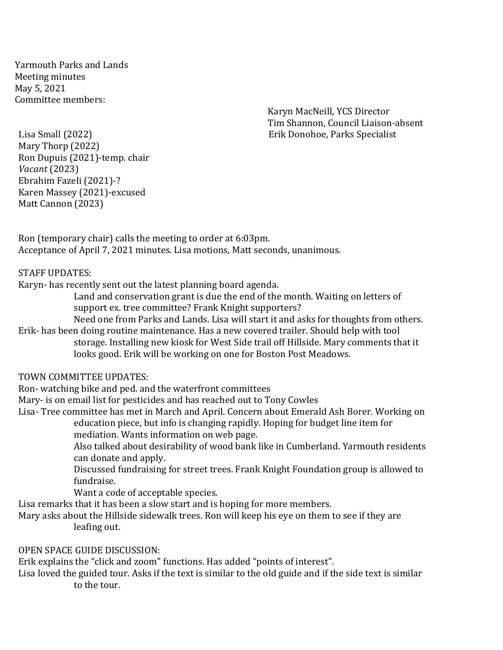Yarmouth Parks and Lands Meeting minutes May 5, 2021 Committee members:

Karyn MacNeill, YCS Director Tim Shannon, Council Liaison-absent

Lisa Small (2022) Erik Donohoe, Parks Specialist Mary Thorp (2022) Ron Dupuis (2021)-temp. chair *Vacant* (2023) Ebrahim Fazeli (2021)-? Karen Massey (2021)-excused Matt Cannon (2023)

Ron (temporary chair) calls the meeting to order at 6:03pm. Acceptance of April 7, 2021 minutes. Lisa motions, Matt seconds, unanimous.

## STAFF UPDATES:

Karyn- has recently sent out the latest planning board agenda.

Land and conservation grant is due the end of the month. Waiting on letters of support ex. tree committee? Frank Knight supporters?

Need one from Parks and Lands. Lisa will start it and asks for thoughts from others.

Erik- has been doing routine maintenance. Has a new covered trailer. Should help with tool storage. Installing new kiosk for West Side trail off Hillside. Mary comments that it looks good. Erik will be working on one for Boston Post Meadows.

#### TOWN COMMITTEE UPDATES:

Ron- watching bike and ped. and the waterfront committees

Mary- is on email list for pesticides and has reached out to Tony Cowles

Lisa- Tree committee has met in March and April. Concern about Emerald Ash Borer. Working on education piece, but info is changing rapidly. Hoping for budget line item for

mediation. Wants information on web page.

Also talked about desirability of wood bank like in Cumberland. Yarmouth residents can donate and apply.

Discussed fundraising for street trees. Frank Knight Foundation group is allowed to fundraise.

Want a code of acceptable species.

Lisa remarks that it has been a slow start and is hoping for more members.

Mary asks about the Hillside sidewalk trees. Ron will keep his eye on them to see if they are leafing out.

### OPEN SPACE GUIDE DISCUSSION:

Erik explains the "click and zoom" functions. Has added "points of interest".

Lisa loved the guided tour. Asks if the text is similar to the old guide and if the side text is similar to the tour.